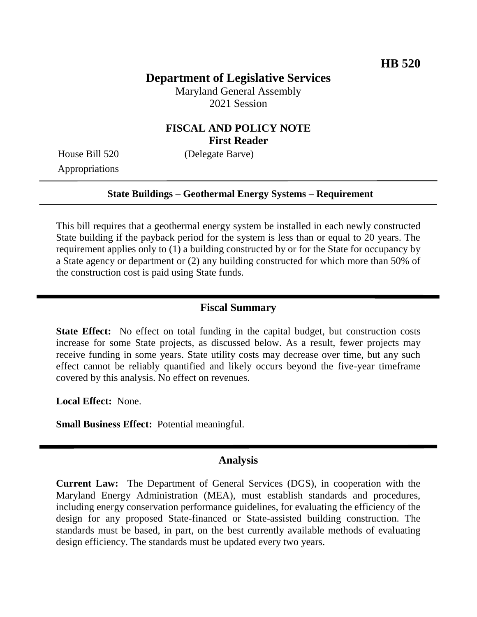# **Department of Legislative Services**

Maryland General Assembly 2021 Session

## **FISCAL AND POLICY NOTE First Reader**

Appropriations

House Bill 520 (Delegate Barve)

### **State Buildings – Geothermal Energy Systems – Requirement**

This bill requires that a geothermal energy system be installed in each newly constructed State building if the payback period for the system is less than or equal to 20 years. The requirement applies only to (1) a building constructed by or for the State for occupancy by a State agency or department or (2) any building constructed for which more than 50% of the construction cost is paid using State funds.

### **Fiscal Summary**

**State Effect:** No effect on total funding in the capital budget, but construction costs increase for some State projects, as discussed below. As a result, fewer projects may receive funding in some years. State utility costs may decrease over time, but any such effect cannot be reliably quantified and likely occurs beyond the five-year timeframe covered by this analysis. No effect on revenues.

**Local Effect:** None.

**Small Business Effect:** Potential meaningful.

#### **Analysis**

**Current Law:** The Department of General Services (DGS), in cooperation with the Maryland Energy Administration (MEA), must establish standards and procedures, including energy conservation performance guidelines, for evaluating the efficiency of the design for any proposed State-financed or State-assisted building construction. The standards must be based, in part, on the best currently available methods of evaluating design efficiency. The standards must be updated every two years.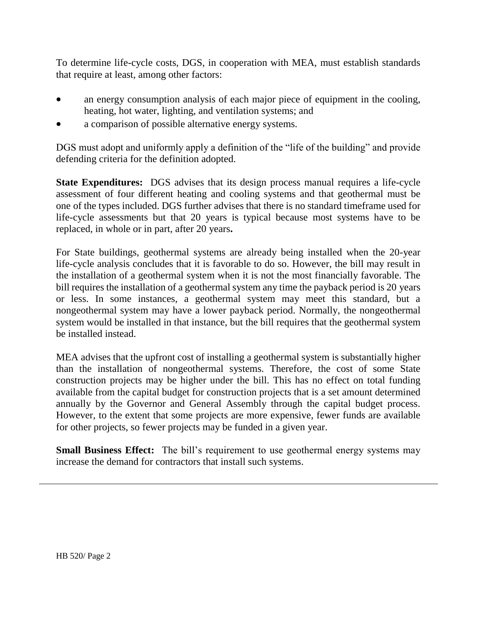To determine life-cycle costs, DGS, in cooperation with MEA, must establish standards that require at least, among other factors:

- an energy consumption analysis of each major piece of equipment in the cooling, heating, hot water, lighting, and ventilation systems; and
- a comparison of possible alternative energy systems.

DGS must adopt and uniformly apply a definition of the "life of the building" and provide defending criteria for the definition adopted.

**State Expenditures:** DGS advises that its design process manual requires a life-cycle assessment of four different heating and cooling systems and that geothermal must be one of the types included. DGS further advises that there is no standard timeframe used for life-cycle assessments but that 20 years is typical because most systems have to be replaced, in whole or in part, after 20 years**.**

For State buildings, geothermal systems are already being installed when the 20-year life-cycle analysis concludes that it is favorable to do so. However, the bill may result in the installation of a geothermal system when it is not the most financially favorable. The bill requires the installation of a geothermal system any time the payback period is 20 years or less. In some instances, a geothermal system may meet this standard, but a nongeothermal system may have a lower payback period. Normally, the nongeothermal system would be installed in that instance, but the bill requires that the geothermal system be installed instead.

MEA advises that the upfront cost of installing a geothermal system is substantially higher than the installation of nongeothermal systems. Therefore, the cost of some State construction projects may be higher under the bill. This has no effect on total funding available from the capital budget for construction projects that is a set amount determined annually by the Governor and General Assembly through the capital budget process. However, to the extent that some projects are more expensive, fewer funds are available for other projects, so fewer projects may be funded in a given year.

**Small Business Effect:** The bill's requirement to use geothermal energy systems may increase the demand for contractors that install such systems.